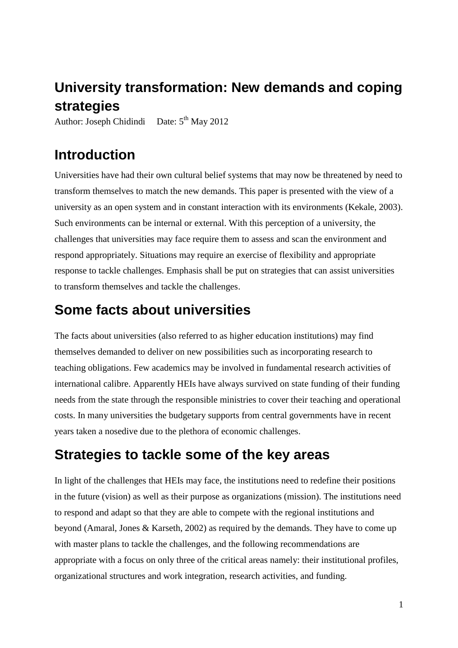# **University transformation: New demands and coping strategies**

Author: Joseph Chidindi Date:  $5<sup>th</sup>$  May 2012

# **Introduction**

Universities have had their own cultural belief systems that may now be threatened by need to transform themselves to match the new demands. This paper is presented with the view of a university as an open system and in constant interaction with its environments (Kekale, 2003). Such environments can be internal or external. With this perception of a university, the challenges that universities may face require them to assess and scan the environment and respond appropriately. Situations may require an exercise of flexibility and appropriate response to tackle challenges. Emphasis shall be put on strategies that can assist universities to transform themselves and tackle the challenges.

## **Some facts about universities**

The facts about universities (also referred to as higher education institutions) may find themselves demanded to deliver on new possibilities such as incorporating research to teaching obligations. Few academics may be involved in fundamental research activities of international calibre. Apparently HEIs have always survived on state funding of their funding needs from the state through the responsible ministries to cover their teaching and operational costs. In many universities the budgetary supports from central governments have in recent years taken a nosedive due to the plethora of economic challenges.

# **Strategies to tackle some of the key areas**

In light of the challenges that HEIs may face, the institutions need to redefine their positions in the future (vision) as well as their purpose as organizations (mission). The institutions need to respond and adapt so that they are able to compete with the regional institutions and beyond (Amaral, Jones & Karseth, 2002) as required by the demands. They have to come up with master plans to tackle the challenges, and the following recommendations are appropriate with a focus on only three of the critical areas namely: their institutional profiles, organizational structures and work integration, research activities, and funding.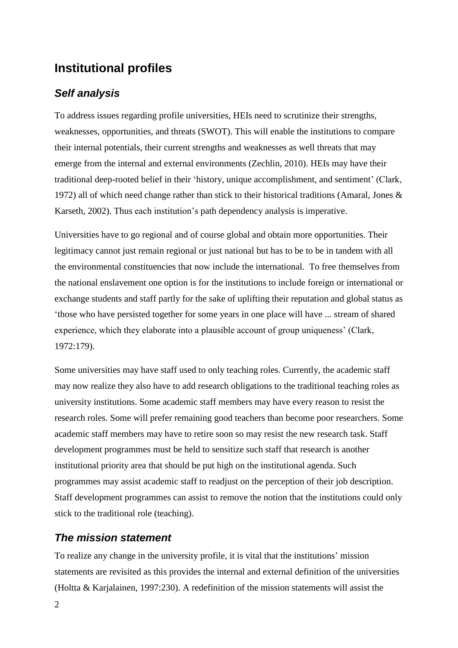## **Institutional profiles**

### *Self analysis*

To address issues regarding profile universities, HEIs need to scrutinize their strengths, weaknesses, opportunities, and threats (SWOT). This will enable the institutions to compare their internal potentials, their current strengths and weaknesses as well threats that may emerge from the internal and external environments (Zechlin, 2010). HEIs may have their traditional deep-rooted belief in their 'history, unique accomplishment, and sentiment' (Clark, 1972) all of which need change rather than stick to their historical traditions (Amaral, Jones & Karseth, 2002). Thus each institution's path dependency analysis is imperative.

Universities have to go regional and of course global and obtain more opportunities. Their legitimacy cannot just remain regional or just national but has to be to be in tandem with all the environmental constituencies that now include the international. To free themselves from the national enslavement one option is for the institutions to include foreign or international or exchange students and staff partly for the sake of uplifting their reputation and global status as 'those who have persisted together for some years in one place will have ... stream of shared experience, which they elaborate into a plausible account of group uniqueness' (Clark, 1972:179).

Some universities may have staff used to only teaching roles. Currently, the academic staff may now realize they also have to add research obligations to the traditional teaching roles as university institutions. Some academic staff members may have every reason to resist the research roles. Some will prefer remaining good teachers than become poor researchers. Some academic staff members may have to retire soon so may resist the new research task. Staff development programmes must be held to sensitize such staff that research is another institutional priority area that should be put high on the institutional agenda. Such programmes may assist academic staff to readjust on the perception of their job description. Staff development programmes can assist to remove the notion that the institutions could only stick to the traditional role (teaching).

#### *The mission statement*

To realize any change in the university profile, it is vital that the institutions' mission statements are revisited as this provides the internal and external definition of the universities (Holtta & Karjalainen, 1997:230). A redefinition of the mission statements will assist the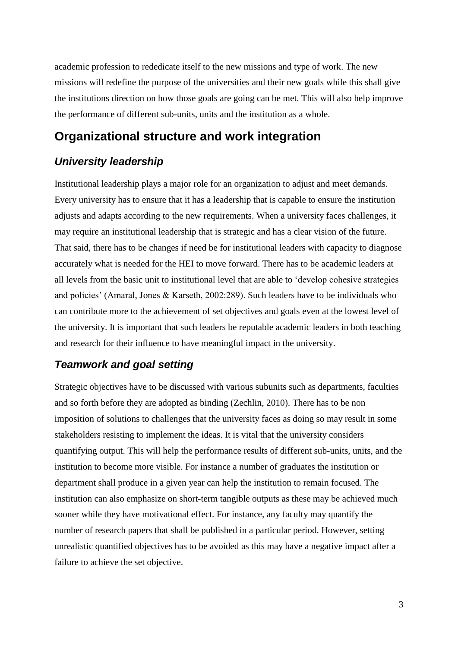academic profession to rededicate itself to the new missions and type of work. The new missions will redefine the purpose of the universities and their new goals while this shall give the institutions direction on how those goals are going can be met. This will also help improve the performance of different sub-units, units and the institution as a whole.

### **Organizational structure and work integration**

## *University leadership*

Institutional leadership plays a major role for an organization to adjust and meet demands. Every university has to ensure that it has a leadership that is capable to ensure the institution adjusts and adapts according to the new requirements. When a university faces challenges, it may require an institutional leadership that is strategic and has a clear vision of the future. That said, there has to be changes if need be for institutional leaders with capacity to diagnose accurately what is needed for the HEI to move forward. There has to be academic leaders at all levels from the basic unit to institutional level that are able to 'develop cohesive strategies and policies' (Amaral, Jones & Karseth, 2002:289). Such leaders have to be individuals who can contribute more to the achievement of set objectives and goals even at the lowest level of the university. It is important that such leaders be reputable academic leaders in both teaching and research for their influence to have meaningful impact in the university.

#### *Teamwork and goal setting*

Strategic objectives have to be discussed with various subunits such as departments, faculties and so forth before they are adopted as binding (Zechlin, 2010). There has to be non imposition of solutions to challenges that the university faces as doing so may result in some stakeholders resisting to implement the ideas. It is vital that the university considers quantifying output. This will help the performance results of different sub-units, units, and the institution to become more visible. For instance a number of graduates the institution or department shall produce in a given year can help the institution to remain focused. The institution can also emphasize on short-term tangible outputs as these may be achieved much sooner while they have motivational effect. For instance, any faculty may quantify the number of research papers that shall be published in a particular period. However, setting unrealistic quantified objectives has to be avoided as this may have a negative impact after a failure to achieve the set objective.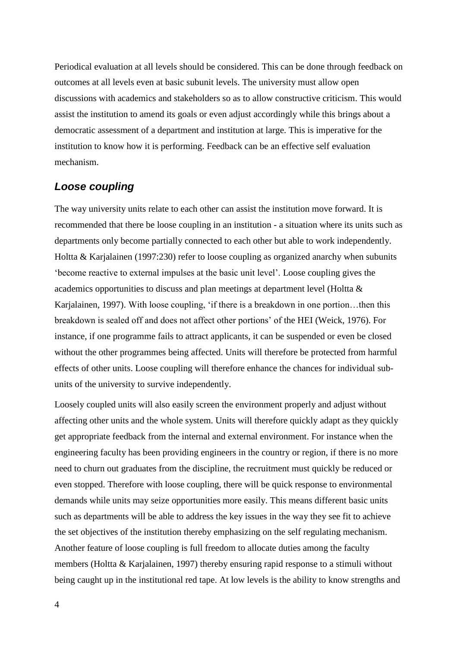Periodical evaluation at all levels should be considered. This can be done through feedback on outcomes at all levels even at basic subunit levels. The university must allow open discussions with academics and stakeholders so as to allow constructive criticism. This would assist the institution to amend its goals or even adjust accordingly while this brings about a democratic assessment of a department and institution at large. This is imperative for the institution to know how it is performing. Feedback can be an effective self evaluation mechanism.

#### *Loose coupling*

The way university units relate to each other can assist the institution move forward. It is recommended that there be loose coupling in an institution - a situation where its units such as departments only become partially connected to each other but able to work independently. Holtta & Karjalainen (1997:230) refer to loose coupling as organized anarchy when subunits 'become reactive to external impulses at the basic unit level'. Loose coupling gives the academics opportunities to discuss and plan meetings at department level (Holtta & Karjalainen, 1997). With loose coupling, 'if there is a breakdown in one portion…then this breakdown is sealed off and does not affect other portions' of the HEI (Weick, 1976). For instance, if one programme fails to attract applicants, it can be suspended or even be closed without the other programmes being affected. Units will therefore be protected from harmful effects of other units. Loose coupling will therefore enhance the chances for individual subunits of the university to survive independently.

Loosely coupled units will also easily screen the environment properly and adjust without affecting other units and the whole system. Units will therefore quickly adapt as they quickly get appropriate feedback from the internal and external environment. For instance when the engineering faculty has been providing engineers in the country or region, if there is no more need to churn out graduates from the discipline, the recruitment must quickly be reduced or even stopped. Therefore with loose coupling, there will be quick response to environmental demands while units may seize opportunities more easily. This means different basic units such as departments will be able to address the key issues in the way they see fit to achieve the set objectives of the institution thereby emphasizing on the self regulating mechanism. Another feature of loose coupling is full freedom to allocate duties among the faculty members (Holtta & Karjalainen, 1997) thereby ensuring rapid response to a stimuli without being caught up in the institutional red tape. At low levels is the ability to know strengths and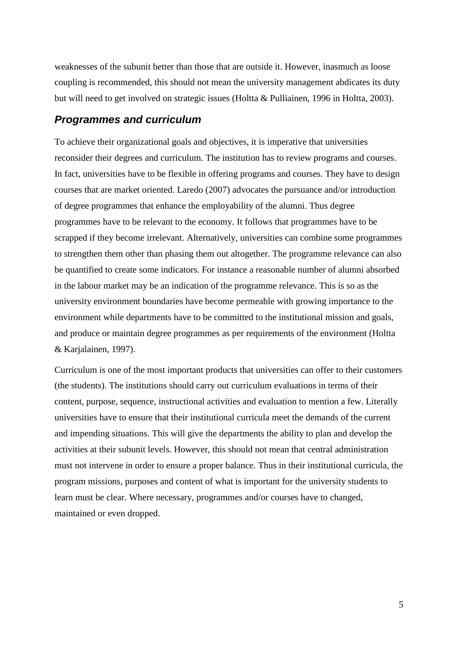weaknesses of the subunit better than those that are outside it. However, inasmuch as loose coupling is recommended, this should not mean the university management abdicates its duty but will need to get involved on strategic issues (Holtta & Pulliainen, 1996 in Holtta, 2003).

#### *Programmes and curriculum*

To achieve their organizational goals and objectives, it is imperative that universities reconsider their degrees and curriculum. The institution has to review programs and courses. In fact, universities have to be flexible in offering programs and courses. They have to design courses that are market oriented. Laredo (2007) advocates the pursuance and/or introduction of degree programmes that enhance the employability of the alumni. Thus degree programmes have to be relevant to the economy. It follows that programmes have to be scrapped if they become irrelevant. Alternatively, universities can combine some programmes to strengthen them other than phasing them out altogether. The programme relevance can also be quantified to create some indicators. For instance a reasonable number of alumni absorbed in the labour market may be an indication of the programme relevance. This is so as the university environment boundaries have become permeable with growing importance to the environment while departments have to be committed to the institutional mission and goals, and produce or maintain degree programmes as per requirements of the environment (Holtta & Karjalainen, 1997).

Curriculum is one of the most important products that universities can offer to their customers (the students). The institutions should carry out curriculum evaluations in terms of their content, purpose, sequence, instructional activities and evaluation to mention a few. Literally universities have to ensure that their institutional curricula meet the demands of the current and impending situations. This will give the departments the ability to plan and develop the activities at their subunit levels. However, this should not mean that central administration must not intervene in order to ensure a proper balance. Thus in their institutional curricula, the program missions, purposes and content of what is important for the university students to learn must be clear. Where necessary, programmes and/or courses have to changed, maintained or even dropped.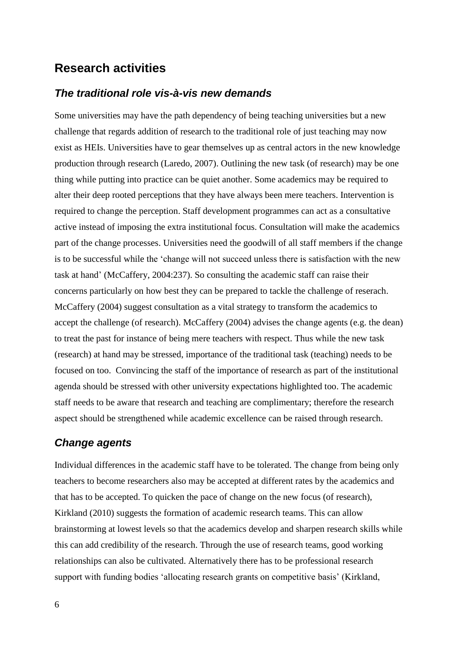## **Research activities**

#### *The traditional role vis-à-vis new demands*

Some universities may have the path dependency of being teaching universities but a new challenge that regards addition of research to the traditional role of just teaching may now exist as HEIs. Universities have to gear themselves up as central actors in the new knowledge production through research (Laredo, 2007). Outlining the new task (of research) may be one thing while putting into practice can be quiet another. Some academics may be required to alter their deep rooted perceptions that they have always been mere teachers. Intervention is required to change the perception. Staff development programmes can act as a consultative active instead of imposing the extra institutional focus. Consultation will make the academics part of the change processes. Universities need the goodwill of all staff members if the change is to be successful while the 'change will not succeed unless there is satisfaction with the new task at hand' (McCaffery, 2004:237). So consulting the academic staff can raise their concerns particularly on how best they can be prepared to tackle the challenge of reserach. McCaffery (2004) suggest consultation as a vital strategy to transform the academics to accept the challenge (of research). McCaffery (2004) advises the change agents (e.g. the dean) to treat the past for instance of being mere teachers with respect. Thus while the new task (research) at hand may be stressed, importance of the traditional task (teaching) needs to be focused on too. Convincing the staff of the importance of research as part of the institutional agenda should be stressed with other university expectations highlighted too. The academic staff needs to be aware that research and teaching are complimentary; therefore the research aspect should be strengthened while academic excellence can be raised through research.

#### *Change agents*

Individual differences in the academic staff have to be tolerated. The change from being only teachers to become researchers also may be accepted at different rates by the academics and that has to be accepted. To quicken the pace of change on the new focus (of research), Kirkland (2010) suggests the formation of academic research teams. This can allow brainstorming at lowest levels so that the academics develop and sharpen research skills while this can add credibility of the research. Through the use of research teams, good working relationships can also be cultivated. Alternatively there has to be professional research support with funding bodies 'allocating research grants on competitive basis' (Kirkland,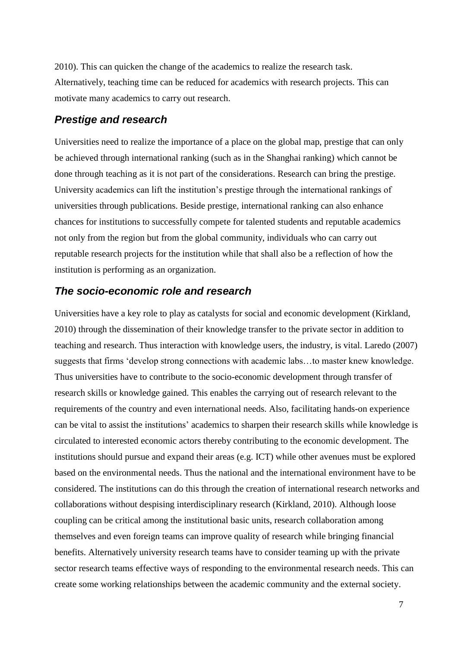2010). This can quicken the change of the academics to realize the research task. Alternatively, teaching time can be reduced for academics with research projects. This can motivate many academics to carry out research.

#### *Prestige and research*

Universities need to realize the importance of a place on the global map, prestige that can only be achieved through international ranking (such as in the Shanghai ranking) which cannot be done through teaching as it is not part of the considerations. Research can bring the prestige. University academics can lift the institution's prestige through the international rankings of universities through publications. Beside prestige, international ranking can also enhance chances for institutions to successfully compete for talented students and reputable academics not only from the region but from the global community, individuals who can carry out reputable research projects for the institution while that shall also be a reflection of how the institution is performing as an organization.

#### *The socio-economic role and research*

Universities have a key role to play as catalysts for social and economic development (Kirkland, 2010) through the dissemination of their knowledge transfer to the private sector in addition to teaching and research. Thus interaction with knowledge users, the industry, is vital. Laredo (2007) suggests that firms 'develop strong connections with academic labs…to master knew knowledge. Thus universities have to contribute to the socio-economic development through transfer of research skills or knowledge gained. This enables the carrying out of research relevant to the requirements of the country and even international needs. Also, facilitating hands-on experience can be vital to assist the institutions' academics to sharpen their research skills while knowledge is circulated to interested economic actors thereby contributing to the economic development. The institutions should pursue and expand their areas (e.g. ICT) while other avenues must be explored based on the environmental needs. Thus the national and the international environment have to be considered. The institutions can do this through the creation of international research networks and collaborations without despising interdisciplinary research (Kirkland, 2010). Although loose coupling can be critical among the institutional basic units, research collaboration among themselves and even foreign teams can improve quality of research while bringing financial benefits. Alternatively university research teams have to consider teaming up with the private sector research teams effective ways of responding to the environmental research needs. This can create some working relationships between the academic community and the external society.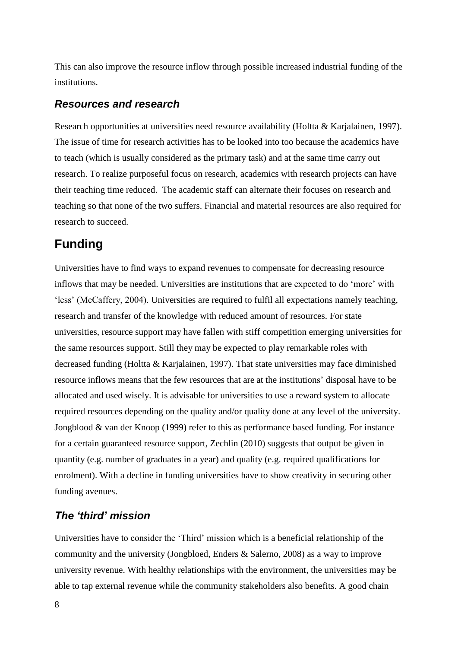This can also improve the resource inflow through possible increased industrial funding of the institutions.

#### *Resources and research*

Research opportunities at universities need resource availability (Holtta & Karjalainen, 1997). The issue of time for research activities has to be looked into too because the academics have to teach (which is usually considered as the primary task) and at the same time carry out research. To realize purposeful focus on research, academics with research projects can have their teaching time reduced. The academic staff can alternate their focuses on research and teaching so that none of the two suffers. Financial and material resources are also required for research to succeed.

## **Funding**

Universities have to find ways to expand revenues to compensate for decreasing resource inflows that may be needed. Universities are institutions that are expected to do 'more' with 'less' (McCaffery, 2004). Universities are required to fulfil all expectations namely teaching, research and transfer of the knowledge with reduced amount of resources. For state universities, resource support may have fallen with stiff competition emerging universities for the same resources support. Still they may be expected to play remarkable roles with decreased funding (Holtta & Karjalainen, 1997). That state universities may face diminished resource inflows means that the few resources that are at the institutions' disposal have to be allocated and used wisely. It is advisable for universities to use a reward system to allocate required resources depending on the quality and/or quality done at any level of the university. Jongblood & van der Knoop (1999) refer to this as performance based funding. For instance for a certain guaranteed resource support, Zechlin (2010) suggests that output be given in quantity (e.g. number of graduates in a year) and quality (e.g. required qualifications for enrolment). With a decline in funding universities have to show creativity in securing other funding avenues.

### *The 'third' mission*

Universities have to consider the 'Third' mission which is a beneficial relationship of the community and the university (Jongbloed, Enders & Salerno, 2008) as a way to improve university revenue. With healthy relationships with the environment, the universities may be able to tap external revenue while the community stakeholders also benefits. A good chain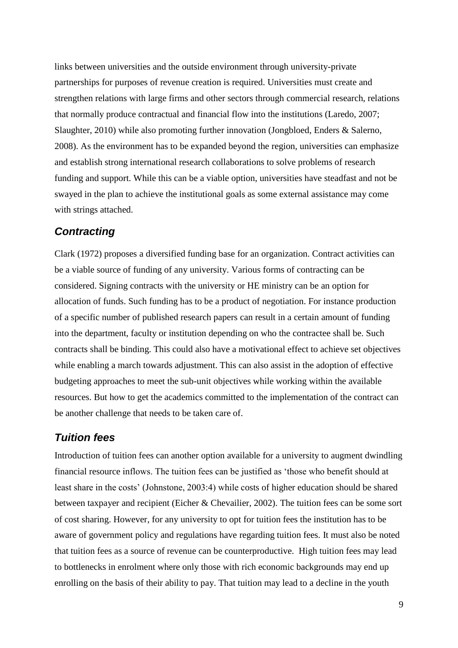links between universities and the outside environment through university-private partnerships for purposes of revenue creation is required. Universities must create and strengthen relations with large firms and other sectors through commercial research, relations that normally produce contractual and financial flow into the institutions (Laredo, 2007; Slaughter, 2010) while also promoting further innovation (Jongbloed, Enders & Salerno, 2008). As the environment has to be expanded beyond the region, universities can emphasize and establish strong international research collaborations to solve problems of research funding and support. While this can be a viable option, universities have steadfast and not be swayed in the plan to achieve the institutional goals as some external assistance may come with strings attached.

#### *Contracting*

Clark (1972) proposes a diversified funding base for an organization. Contract activities can be a viable source of funding of any university. Various forms of contracting can be considered. Signing contracts with the university or HE ministry can be an option for allocation of funds. Such funding has to be a product of negotiation. For instance production of a specific number of published research papers can result in a certain amount of funding into the department, faculty or institution depending on who the contractee shall be. Such contracts shall be binding. This could also have a motivational effect to achieve set objectives while enabling a march towards adjustment. This can also assist in the adoption of effective budgeting approaches to meet the sub-unit objectives while working within the available resources. But how to get the academics committed to the implementation of the contract can be another challenge that needs to be taken care of.

#### *Tuition fees*

Introduction of tuition fees can another option available for a university to augment dwindling financial resource inflows. The tuition fees can be justified as 'those who benefit should at least share in the costs' (Johnstone, 2003:4) while costs of higher education should be shared between taxpayer and recipient (Eicher & Chevailier, 2002). The tuition fees can be some sort of cost sharing. However, for any university to opt for tuition fees the institution has to be aware of government policy and regulations have regarding tuition fees. It must also be noted that tuition fees as a source of revenue can be counterproductive. High tuition fees may lead to bottlenecks in enrolment where only those with rich economic backgrounds may end up enrolling on the basis of their ability to pay. That tuition may lead to a decline in the youth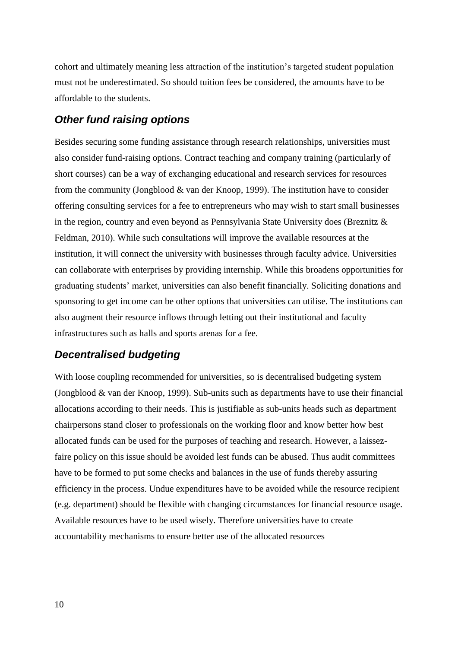cohort and ultimately meaning less attraction of the institution's targeted student population must not be underestimated. So should tuition fees be considered, the amounts have to be affordable to the students.

### *Other fund raising options*

Besides securing some funding assistance through research relationships, universities must also consider fund-raising options. Contract teaching and company training (particularly of short courses) can be a way of exchanging educational and research services for resources from the community (Jongblood & van der Knoop, 1999). The institution have to consider offering consulting services for a fee to entrepreneurs who may wish to start small businesses in the region, country and even beyond as Pennsylvania State University does (Breznitz & Feldman, 2010). While such consultations will improve the available resources at the institution, it will connect the university with businesses through faculty advice. Universities can collaborate with enterprises by providing internship. While this broadens opportunities for graduating students' market, universities can also benefit financially. Soliciting donations and sponsoring to get income can be other options that universities can utilise. The institutions can also augment their resource inflows through letting out their institutional and faculty infrastructures such as halls and sports arenas for a fee.

### *Decentralised budgeting*

With loose coupling recommended for universities, so is decentralised budgeting system (Jongblood & van der Knoop, 1999). Sub-units such as departments have to use their financial allocations according to their needs. This is justifiable as sub-units heads such as department chairpersons stand closer to professionals on the working floor and know better how best allocated funds can be used for the purposes of teaching and research. However, a laissezfaire policy on this issue should be avoided lest funds can be abused. Thus audit committees have to be formed to put some checks and balances in the use of funds thereby assuring efficiency in the process. Undue expenditures have to be avoided while the resource recipient (e.g. department) should be flexible with changing circumstances for financial resource usage. Available resources have to be used wisely. Therefore universities have to create accountability mechanisms to ensure better use of the allocated resources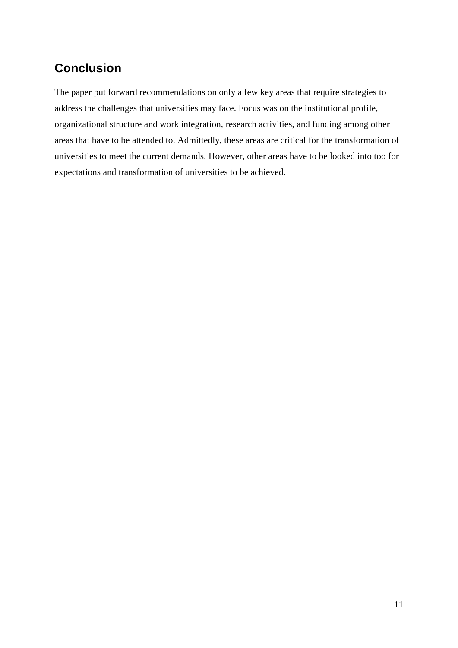## **Conclusion**

The paper put forward recommendations on only a few key areas that require strategies to address the challenges that universities may face. Focus was on the institutional profile, organizational structure and work integration, research activities, and funding among other areas that have to be attended to. Admittedly, these areas are critical for the transformation of universities to meet the current demands. However, other areas have to be looked into too for expectations and transformation of universities to be achieved.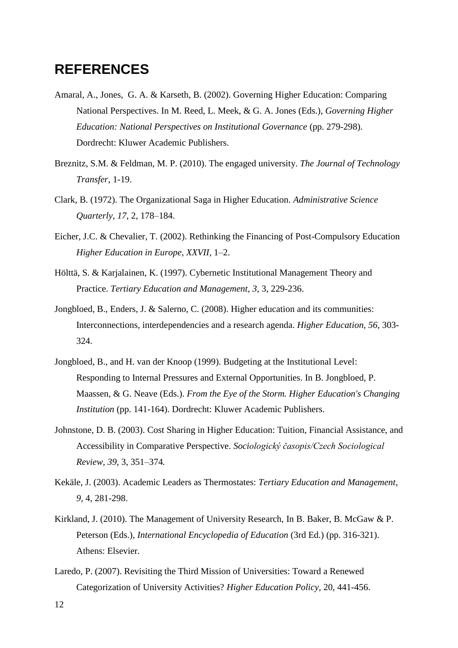## **REFERENCES**

- Amaral, A., Jones, G. A. & Karseth, B. (2002). Governing Higher Education: Comparing National Perspectives. In M. Reed, L. Meek, & G. A. Jones (Eds.), *Governing Higher Education: National Perspectives on Institutional Governance* (pp. 279-298). Dordrecht: Kluwer Academic Publishers.
- Breznitz, S.M. & Feldman, M. P. (2010). The engaged university. *The Journal of Technology Transfer*, 1-19.
- Clark, B. (1972). The Organizational Saga in Higher Education. *Administrative Science Quarterly*, *17*, 2, 178–184.
- Eicher, J.C. & Chevalier, T. (2002). Rethinking the Financing of Post-Compulsory Education *Higher Education in Europe, XXVII,* 1–2.
- Hölttä, S. & Karjalainen, K. (1997). Cybernetic Institutional Management Theory and Practice. *Tertiary Education and Management*, *3*, 3, 229-236.
- Jongbloed, B., Enders, J. & Salerno, C. (2008). Higher education and its communities: Interconnections, interdependencies and a research agenda. *Higher Education, 56*, 303- 324.
- Jongbloed, B., and H. van der Knoop (1999). Budgeting at the Institutional Level: Responding to Internal Pressures and External Opportunities. In B. Jongbloed, P. Maassen, & G. Neave (Eds.). *From the Eye of the Storm. Higher Education's Changing Institution* (pp. 141-164). Dordrecht: Kluwer Academic Publishers.
- Johnstone, D. B. (2003). Cost Sharing in Higher Education: Tuition, Financial Assistance, and Accessibility in Comparative Perspective. *Sociologický časopis/Czech Sociological Review, 39,* 3, 351–374*.*
- Kekäle, J. (2003). Academic Leaders as Thermostates: *Tertiary Education and Management*, *9,* 4, 281-298.
- Kirkland, J. (2010). The Management of University Research, In B. Baker, B. McGaw & P. Peterson (Eds.), *International Encyclopedia of Education* (3rd Ed.) (pp. 316-321). Athens: Elsevier.
- Laredo, P. (2007). Revisiting the Third Mission of Universities: Toward a Renewed Categorization of University Activities? *Higher Education Policy*, 20, 441-456.